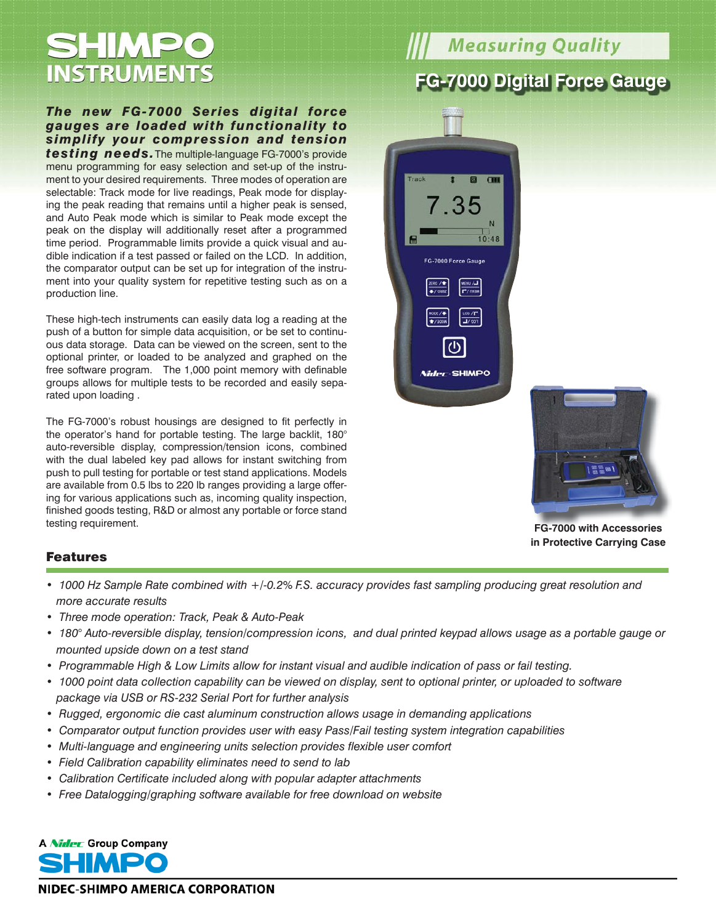## SHIMPO **INSTRUMENTS**

#### *The new FG-7000 Series digital force gauges are loaded with functionality to simplify your compression and tension*

*testing needs.*The multiple-language FG-7000's provide menu programming for easy selection and set-up of the instrument to your desired requirements. Three modes of operation are selectable: Track mode for live readings, Peak mode for displaying the peak reading that remains until a higher peak is sensed, and Auto Peak mode which is similar to Peak mode except the peak on the display will additionally reset after a programmed time period. Programmable limits provide a quick visual and audible indication if a test passed or failed on the LCD. In addition, the comparator output can be set up for integration of the instrument into your quality system for repetitive testing such as on a production line.

These high-tech instruments can easily data log a reading at the push of a button for simple data acquisition, or be set to continuous data storage. Data can be viewed on the screen, sent to the optional printer, or loaded to be analyzed and graphed on the free software program. The 1,000 point memory with definable groups allows for multiple tests to be recorded and easily separated upon loading .

The FG-7000's robust housings are designed to fit perfectly in the operator's hand for portable testing. The large backlit, 180° auto-reversible display, compression/tension icons, combined with the dual labeled key pad allows for instant switching from push to pull testing for portable or test stand applications. Models are available from 0.5 lbs to 220 lb ranges providing a large offering for various applications such as, incoming quality inspection, finished goods testing, R&D or almost any portable or force stand testing requirement.

# **Measuring Quality**

### **FG-7000 Digital Force Gauge**





**FG-7000 with Accessories FG 7000 Accessoriesin Protective Carrying Case**

#### Features

- *1000 Hz Sample Rate combined with +/-0.2% F.S. accuracy provides fast sampling producing great resolution and more accurate results*
- *Three mode operation: Track, Peak & Auto-Peak*
- *180° Auto-reversible display, tension/compression icons, and dual printed keypad allows usage as a portable gauge or mounted upside down on a test stand*
- *Programmable High & Low Limits allow for instant visual and audible indication of pass or fail testing.*
- 1000 point data collection capability can be viewed on display, sent to optional printer, or uploaded to software  *package via USB or RS-232 Serial Port for further analysis*
- *Rugged, ergonomic die cast aluminum construction allows usage in demanding applications*
- *Comparator output function provides user with easy Pass/Fail testing system integration capabilities*
- *Multi-language and engineering units selection provides flexible user comfort*
- *Field Calibration capability eliminates need to send to lab*
- *Calibration Certificate included along with popular adapter attachments*
- *Free Datalogging/graphing software available for free download on website*



NIDEC-SHIMPO AMERICA CORPORATION